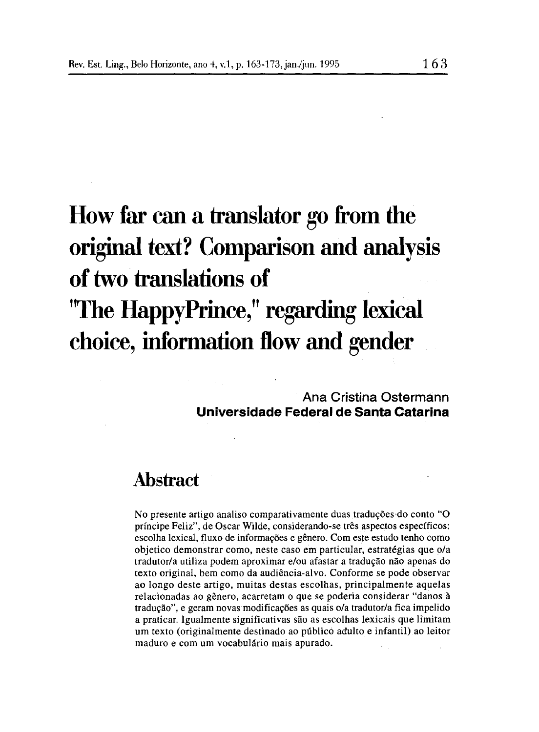# **How far can a translator go from the original text? Comparison and analysis oftwo translations of "The HappyPrince," regarding lexical choice, information tlow and gender**

**Ana Cristina Ostermann Universidade Federal de Santa Catarina**

## **Abstract**

No presente artigo analiso comparativamente duas traduções-do conto "O príncipe Feliz", de Oscar Wilde, considerando-se três aspectos específicos: escolha lexical, fluxo de informações e gênero. Com este estudo tenho como objetico demonstrar como, neste caso em particular, estratégias que o/a tradutor/a utiliza podem aproximar e/ou afastar a tradução não apenas do texto original, bem como da audiência-alvo. Conforme se pode observar ao longo deste artigo, muitas destas escolhas, principalmente aquelas relacionadas ao gênero, acarretam o que se poderia considerar "danos à tradução", e geram novas modificações as quais o/a tradutor/a fica impelido a praticar. Igualmente significativas são as escolhas lexicais que limitam um texto (originalmente destinado ao público adulto e infantil) ao leitor maduro e com um vocabulário mais apurado.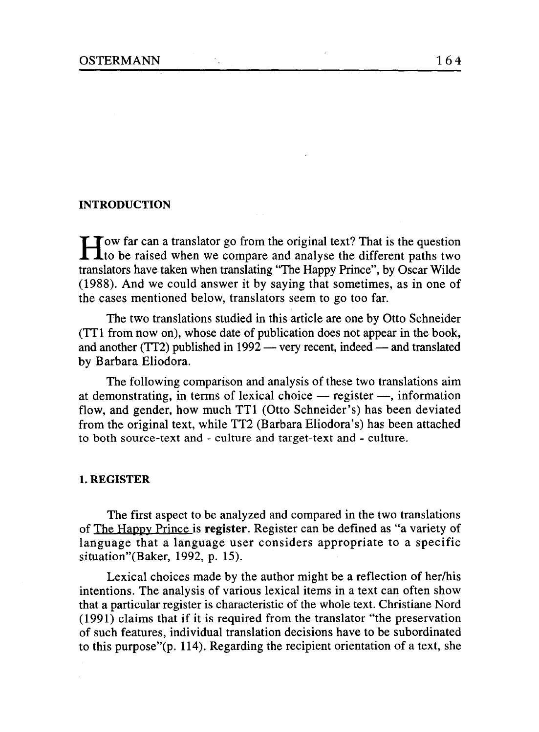#### **INTRODUCTION**

How far can a translator go from the original text? That is the question<br>to be raised when we compare and analyse the different paths two translators have taken when translating "The Happy Prince", by Oscar Wilde (1988). And we could answer it by saying that sometimes, as in one of the cases mentioned below, translators seem to go too far.

The two translations studied in this article are one by Otto Schneider (TIl from now on), whose date of publication does not appear in the book, and another (TT2) published in  $1992$  — very recent, indeed — and translated by Barbara Eliodora.

The following comparison and analysis of these two translations aim at demonstrating, in terms of lexical choice  $-$  register  $-$ , information flow, and gender, how much TT1 (Otto Schneider's) has been deviated from the original text, while TT2 (Barbara Eliodora's) has been attached to both source-text and - cu1ture and target-text and - culture.

#### **l.REGISTER**

The first aspect to be analyzed and compared in the two translations of The Happy Prince is register . Register can be defined as "a variety of language that a language user considers appropriate to a specific situation"(Baker, 1992, p. 15).

Lexical choices made by the author might be a reflection of her/his intentions. The analysis of various lexical items in a text can often show that a particular register is characteristic of the whole text. Christiane Nord  $(1991)$  claims that if it is required from the translator "the preservation" of such features, individual translation decisions have to be subordinated to this purpose"(p. 114). Regarding the recipient orientation of a text, she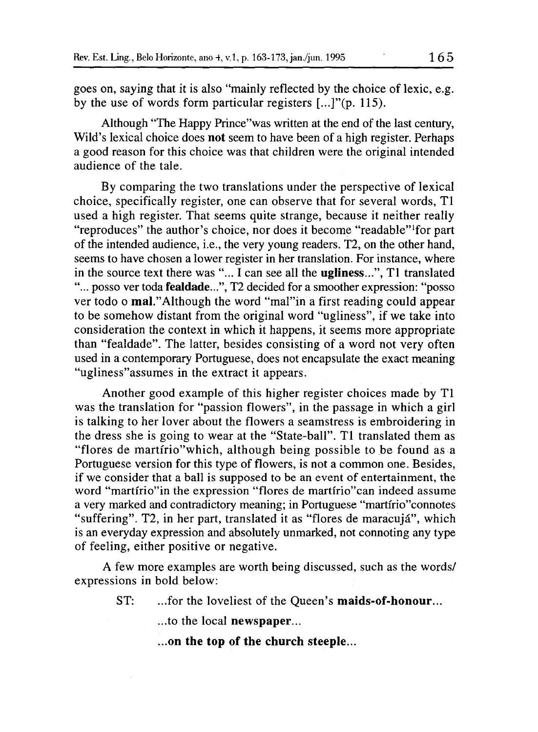goes on, saying that it is also "mainly reflected by the choice of lexic, e.g. by the use of words form particular registers [...]"(p. 115).

Although "The Happy Prince"was written at the end of the last century, Wild's lexical choice does not seem to have been of a high register. Perhaps a good reason for this choice was that children were the original intended audience of the tale.

By comparing the two translations under the perspective of lexical choice, specifically register, one can observe that for several words, TI used a high register. That seems quite strange, because it neither really "reproduces" the author's choice, nor does it become "readable"lfor part of the intended audience, i.e., the very young readers. T2, on the other hand, seems to have chosen a lower register in her translation. For instance, where in the source text there was "... I can see all the ugliness...", TI translated "... posso ver toda fealdade...", T2 decided for a smoother expression: "posso ver todo o mal."Although the word "mal"in a first reading could appear to be somehow distant from the original word "ugliness", if we take into consideration the context in which it happens, it seems more appropriate than "fealdade". The latter, besides consisting of a word not very often used in a contemporary Portuguese, does not encapsulate the exact meaning "ugliness"assumes in the extract it appears.

Another good example of this higher register choices made by TI was the translation for "passion flowers", in the passage in which a girl is talking to her lover about the flowers a seamstress is embroidering in the dress she is going to wear at the "State-ball". TI translated them as "flores de martírio" which, although being possible to be found as a Portuguese version for this type of flowers, is not a common one. Besides, if we consider that a ball is supposed to be an event of entertainment, the word "martírio"in the expression "flores de martírio"can indeed assume a very marked and contradictory meaning; in Portuguese "martírio"connotes "suffering". T2, in her part, translated it as "flores de maracujá", which is an everyday expression and absolutely unmarked, not connoting any type of feeling, either positive or negative.

A few more examples are worth being discussed, such as the words/ expressions in bold below:

ST: ...for the loveliest of the Queen's maids-of-honour...

...to the local newspaper...

...on the top of the church steeple...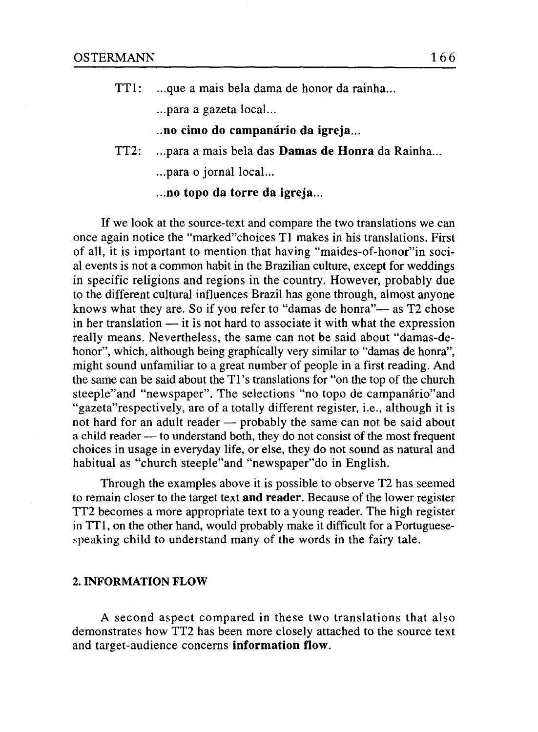TTI: ...que a mais bela dama de honor da rainha...

...para a gazeta local...

- ..no cimo do campanário da igreja...
- TT2: ...para a mais bela das Damas de Honra da Rainha... ...para o jornal local...

...no topo da torre da igreja...

If we look at the source-text and compare the two translations we can once again notice the "marked"choices TI makes in his translations. First of all, it is important to mention that having "maides-of-honor" in social events is not a common habit in the Brazilian culture, except for weddings in specific religions and regions in the country. However, probably due to the different cultural influences Brazil has gone through, almost anyone knows what they are. So if you refer to "damas de honra"— as T2 chose in her translation  $-$  it is not hard to associate it with what the expression real1y means. Nevertheless, the sarne can not be said about "damas-dehonor", which, although being graphically very similar to "damas de honra", might sound unfamiliar to a great number of people in a first reading. And the same can be said about the TI's translations for "on the top of the church steeple"and "newspaper". The selections "no topo de campanário"and "gazeta" respectively, are of a totally different register, i.e., although it is not hard for an adult reader — probably the same can not be said about a child reader — to understand both, they do not consist of the most frequent choices in usage in everyday life, or else, they do not sound as natural and habitual as "church steeple"and "newspaper"do in English.

Through the examples above it is possible to observe T2 has seemed to remain closer to the target text and reader. Because of the lower register TT2 becomes a more appropriate text to a young reader. The high register in TT1, on the other hand, would probably make it difficult for a Portuguesespeaking child to understand many of the words in the fairy tale.

#### 2. INFORMATION FLOW

A second aspect compared in these two translations that also demonstrates how TT2 has been more c10sely attached to the source text and target-audience concerns information flow.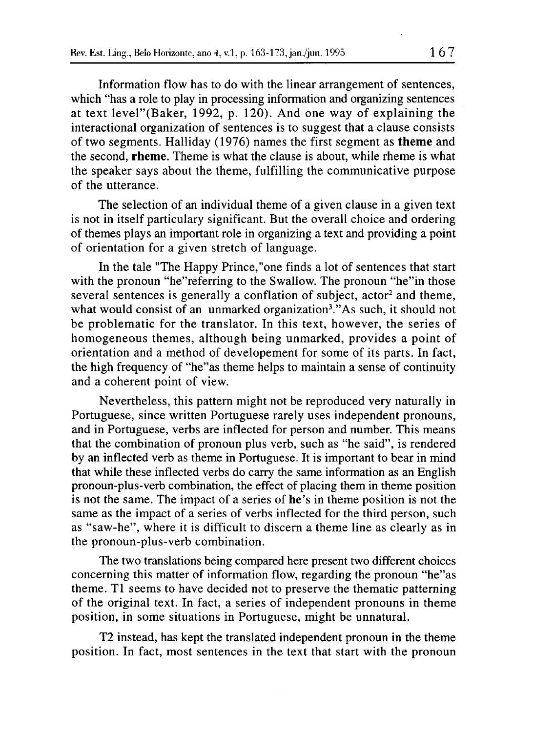lnformation flow has to do with the linear arrangement of sentences, which "has a role to play in processing information and organizing sentences at text level"(Baker, 1992, p. 120). And one way of explaining the interactional organization of sentences is to suggest that a clause consists of two segments. Halliday (1976) names the first segment as **theme** and the second, rheme. Theme is what the clause is about, while rheme is what the speaker says about the theme, fulfilling the communicative purpose of the utterance.

The selection of an individual theme of a given clause in a given text is not in itself particulary significant. But the overall choice and ordering of themes plays an important role in organizing a text and providing a point of orientation for a given stretch of language.

ln the tale "The Happy Prince,"one finds a lot of sentences that start with the pronoun "he"referring to the Swallow. The pronoun "he" in those several sentences is generally a conflation of subject, actor<sup>2</sup> and theme, what would consist of an unmarked organization<sup>3</sup>."As such, it should not be problematic for the translator. ln this text, however, the series of homogeneous themes, although being unmarked, provides a point of orientation and a method of developement for some of its parts. ln fact, the high frequency of "he"as theme helps to maintain a sense of continuity and a coherent point of view.

Nevertheless, this pattern might not be reproduced very naturally in Portuguese, since written Portuguese rarely uses independent pronouns, and in Portuguese, verbs are inflected for person and number. This means that the combination of pronoun plus verb, such as "he said", is rendered by an inflected verb as theme in Portuguese. It is important to bear in mind that while these inflected verbs do carry the sarne information as an English pronoun-plus-verb combination, the effect of placing them in theme position is not the sarne. The impact of a series of he's in theme position is not the same as the impact of a series of verbs inflected for the third person, such as "saw-he", where it is difficult to discern a theme line as clearly as in the pronoun-plus-verb combination.

The two translations being compared here present two different choices concerning this matter of information flow, regarding the pronoun "he"as theme. TI seems to have decided not to preserve the thematic patterning of the original text. In fact, a series of independent pronouns in theme position, in some situations in Portuguese, might be unnatural.

T2 instead, has kept the translated independent pronoun in the theme position. ln fact, most sentences in the text that start with the pronoun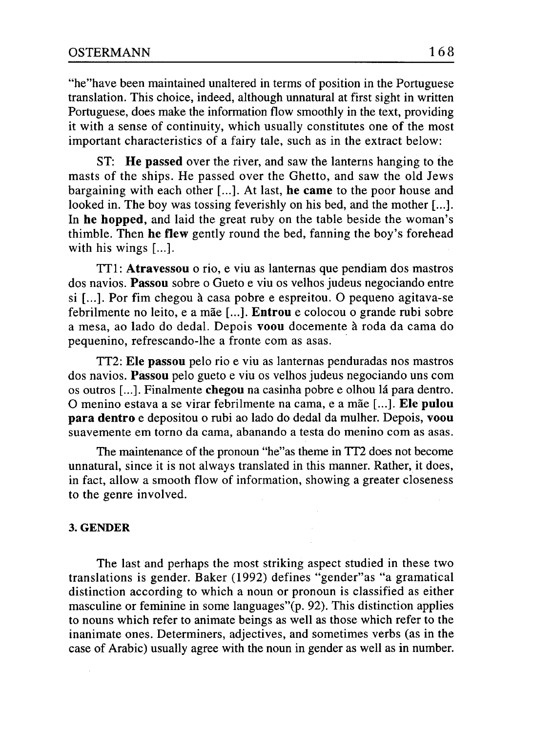"he"have been maintained unaltered in terms of position in the Portuguese translation. This choice, indeed, although unnatural at first sight in written Portuguese, does make the information flow smoothly in the text, providing it with a sense of continuity, which usually constitutes one of the most important characteristics of a fairy tale, such as in the extract below:

ST: **He passed** over the river, and saw the lanterns hanging to the masts of the ships. He passed over the Ghetto, and saw the old Jews bargaining with each other [...]. At last, **he carne** to the poor house and looked in. The boy was tossing feverishly on his bed, and the mother [...]. **ln he hopped,** and laid the great ruby on the table beside the woman's thimble. Then **he flew** gently round the bed, fanning the boy's forehead with his wings [...].

TIl: **Atravessou** o rio, e viu as lanternas que pendiam dos mastros dos navios. **Passou** sobre o Gueto e viu os velhos judeus negociando entre si [...]. Por fim chegou à casa pobre e espreitou. O pequeno agitava-se febrilmente no leito, e a mãe [...]. **Entrou** e colocou o grande rubi sobre a mesa, ao lado do dedal. Depois **voou** docemente à roda da cama do pequenino, refrescando-lhe a fronte com as asas. .

TT2: **Ele passou** pelo rio e viu as lanternas penduradas nos mastros dos navios. **Passou** pelo gueto e viu os velhos judeus negociando uns com os outros [...]. Finalmente **chegou** na casinha pobre e olhou lá para dentro. O menino estava a se virar febrilmente na cama, e a mãe [...]. **Ele pulou para dentro** e depositou o rubi ao lado do dedal da mulher. Depois, **voou** suavemente em torno da cama, abanando a testa do menino com as asas.

The maintenance of the pronoun "he"as theme in TT2 does not become unnatural, since it is not always translated in this manner. Rather, it does, in fact, allow a smooth flow of information, showing a greater closeness to the geme involved.

#### **3.GENDER**

The last and perhaps the most striking aspect studied in these two translations is gender. Baker (1992) defines "gender"as "a gramatical distinction according to which a noun or pronoun is classified as either masculine or feminine in some languages"(p. 92). This distinction applies to nouns which refer to animate beings as well as those which refer to the inanimate ones. Determiners, adjectives, and sometimes verbs (as in the case of Arabic) usually agree with the noun in gender as well as in number.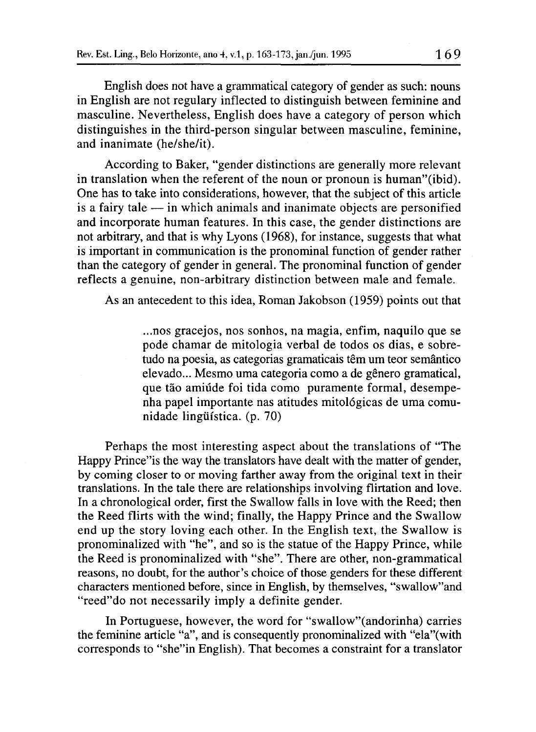English does not have a grammatical category of gender as such: nouns in English are not regulary inflected to distinguish between feminine and masculine. Nevertheless, English does have a category of person which distinguishes in the third-person singular between masculine, feminine, and inanimate (he/she/it).

According to Baker, "gender distinctions are generalIy more relevant in translation when the referent of the noun or pronoun is human"(ibid). One has to take into considerations, however, that the subject of this article is a fairy tale  $-$  in which animals and inanimate objects are personified and incorporate human features. ln this case, the gender distinctions are not arbitrary, and that is why Lyons (1968), for instance, suggests that what is important in communication is the pronominal function of gender rather than the category of gender in general. The pronominal function of gender reflects a genuine, non-arbitrary distinction between male and female.

As an antecedent to this idea, Roman Jakobson (1959) points out that

...nos gracejos, nos sonhos, na magia, enfim, naquilo que se pode chamar de mitologia verbal de todos os dias, e sobretudo na poesia, as categorias gramaticais têm um teor semântico elevado... Mesmo uma categoria como a de gênero gramatical, que tão amiúde foi tida como puramente formal, desempenha papel importante nas atitudes mitológicas de uma comunidade lingüística. (p. 70)

Perhaps the most interesting aspect about the translations of "The Happy Prince"is the way the translators have dealt with the matter of gender, by coming closer to or moving farther away from the original text in their translations. ln the tale there are relationships involving flirtation and love. ln a chronological order, first the SwalIow falIs in love with the Reed; then the Reed flirts with the wind; finalIy, the Happy Prince and the Swallow end up the story loving each other. ln the English text, the Swallow is pronominalized with "he", and so is the statue of the Happy Prince, while the Reed is pronominalized with "she". There are other, non-grammatical reasons, no doubt, for the author's choice of those genders for these different characters mentioned before, since in English, by themselves, "swalIow"and "reed"do not necessarily imply a definite gender.

ln Portuguese, however, the word for "swalIow"(andorinha) carries the feminine article "a", and is consequently pronominalized with "ela"(with corresponds to "she"in English). That becomes a constraint for a translator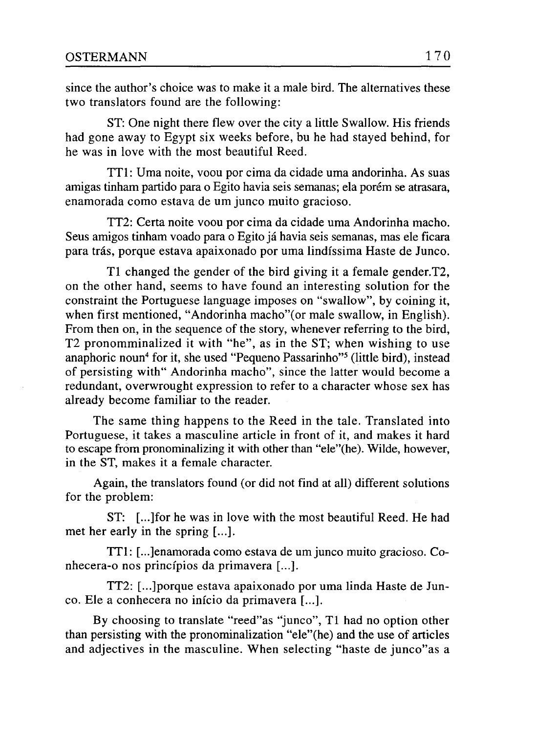since the author's choice was to make it a male bird. The altematives these two translators found are the following:

ST: One night there flew over the city a little Swallow. His friends had gone away to Egypt six weeks before, bu he had stayed behind, for he was in love with the most beautiful Reed.

TTI: Uma noite, voou por cima da cidade uma andorinha. As suas amigas tinham partido para o Egito havia seis semanas; ela porém se atrasara, enamorada como estava de um junco muito gracioso.

TT2: Certa noite voou por cima da cidade uma Andorinha macho. Seus amigos tinham voado para o Egito já havia seis semanas, mas ele ficara para trás, porque estava apaixonado por uma lindíssima Haste de Junco.

TI changed the gender of the bird giving it a female gender.T2, on the other hand, seems to have found an interesting solution for the constraint the Portuguese language imposes on "swallow", by coining it, when first mentioned, "Andorinha macho"(or male swallow, in English). From then on, in the sequence of the story, whenever referring to the bird, T2 pronomminalized it with "he", as in the ST; when wishing to use anaphoric noun<sup>4</sup> for it, she used "Pequeno Passarinho"<sup>5</sup> (little bird), instead of persisting with" Andorinha macho", since the latter would become a redundant, overwrought expression to refer to a character whose sex has already become familiar to the reader.

The same thing happens to the Reed in the tale. Translated into Portuguese, it takes a masculine article in front of it, and makes it hard to escape from pronominalizing it with other than "ele"(he). Wilde, however, in the ST, makes it a female character.

Again, the translators found (or did not find at all) different solutions for the problem:

ST: [...]for he was in love with the most beautiful Reed. He had met her early in the spring [...].

TTI: [...]enamorada como estava de um junco muito gracioso. Conhecera-o nos princípios da primavera [...].

TT2: [...]porque estava apaixonado por uma linda Haste de Junco. Ele a conhecera no início da primavera [...].

By choosing to translate "reed"as "junco", TI had no option other than persisting with the pronominalization "ele"(he) and the use of articles and adjectives in the masculine. When selecting "haste de junco"as a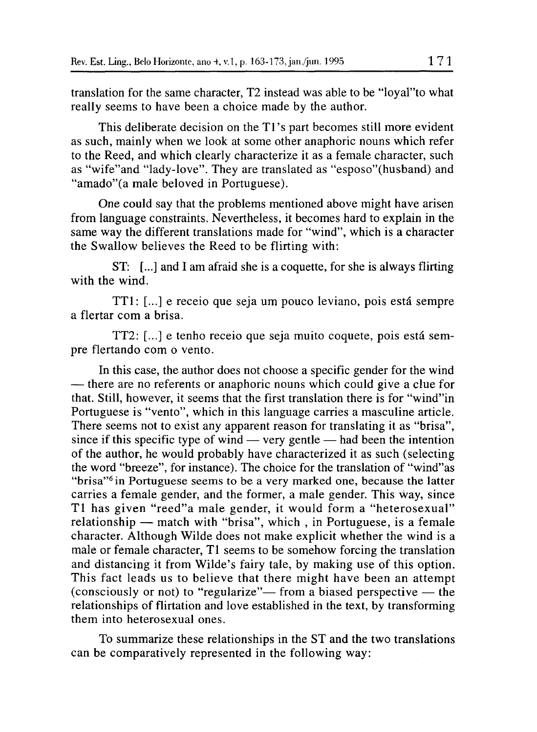translation for the sarne character, T2 instead was able to be "loyal"to what really seems to have been a choice made by the author.

This deliberate decision on the TI's part becomes still more evident as such, mainly when we look at some other anaphoric nouns which refer to the Reed, and which clearly characterize it as a female character, such as "wife"and "lady-Iove". They are translated as "esposo"(husband) and "amado"(a male beloved in Portuguese).

One could say that the problems mentioned above might have arisen from language constraints. Nevertheless, it becomes hard to explain in the sarne way the different translations made for "wind", which is a character the Swallow believes the Reed to be flirting with:

ST: (...] and 1am afraid she is a coquette, for she is always flirting with the wind.

TTI: (...] e receio que seja um pouco leviano, pois está sempre a flertar com a brisa.

TT2: (...] e tenho receio que seja muito coquete, pois está sempre flertando com o vento.

ln this case, the author does not choose a specific gender for the wind - there are no referents or anaphoric nouns which could give a clue for that. Still, however, it seems that the first translation there is for "wind"in Portuguese is "vento", which in this language carries a masculine article. There seems not to exist any apparent reason for translating it as "brisa", since if this specific type of wind — very gentle — had been the intention of the author, he would probably have characterized it as such (selecting the word "breeze", for instance). The choice for the translation of "wind"as "brisa"6 in Portuguese seems to be a very marked one, because the latter carries a female gender, and the former, a male gender. This way, since TI has given "reed"a male gender, it would form a "heterosexual"  $relationship$  — match with "brisa", which, in Portuguese, is a female character. Although Wilde does not make explicit whether the wind is a male or female character, TI seems to be somehow forcing the translation and distancing it from Wilde's fairy tale, by making use of this option. This fact leads us to believe that there might have been an attempt (consciously or not) to "regularize"- from a biased perspective  $-$  the relationships of flirtation and love established in the text, by transforming them into heterosexual ones.

To summarize these relationships in the ST and the two translations can be comparatively represented in the following way: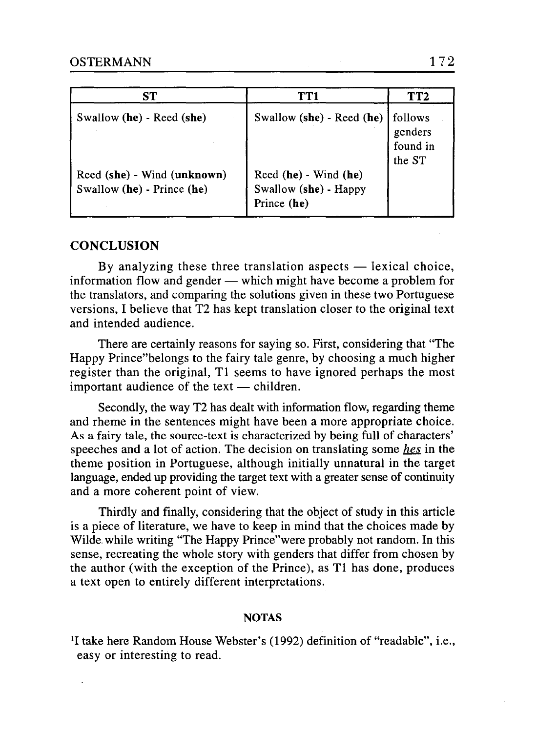| SТ                                                        | TT1                                                           | TT2                                      |
|-----------------------------------------------------------|---------------------------------------------------------------|------------------------------------------|
| Swallow (he) - Reed (she)                                 | Swallow (she) - Reed (he)                                     | follows<br>genders<br>found in<br>the ST |
| Reed (she) - Wind (unknown)<br>Swallow (he) - Prince (he) | Reed (he) - Wind (he)<br>Swallow (she) - Happy<br>Prince (he) |                                          |

### **CONCLUSION**

By analyzing these three translation aspects  $-$  lexical choice, information flow and gender  $-$  which might have become a problem for the translators, and comparing the solutions given in these two Portuguese versions, I believe that T2 has kept translation closer to the original text and intended audience.

There are certainly reasons for saying so. First, considering that "The Happy Prince"belongs to the fairy tale geme, by choosing a much higher register than the original, TI seems to have ignored perhaps the most important audience of the text  $-$  children.

Secondly, the way T2 has dealt with information flow, regarding theme and rheme in the sentences might have been a more appropriate choice. As a fairy tale, the source-text is characterized by being full of characters' speeches and a lot of action. The decision on translating some *hes* in the theme position in Portuguese, although initially unnatural in the target language, ended up providing the target text with a greater sense of continuity and a more coherent point of view.

Thirdly and final1y, considering that the object of study in this article is a piece of literature, we have to keep in mind that the choices made by Wilde. while writing "The Happy Prince"were probably not random. ln this sense, recreating the whole story with genders that differ from chosen by the author (with the exception of the Prince), as TI has done, produces a text open to entirely different interpretations.

#### NOTAS

<sup>&</sup>lt;sup>1</sup>I take here Random House Webster's (1992) definition of "readable", i.e., easy or interesting to read.